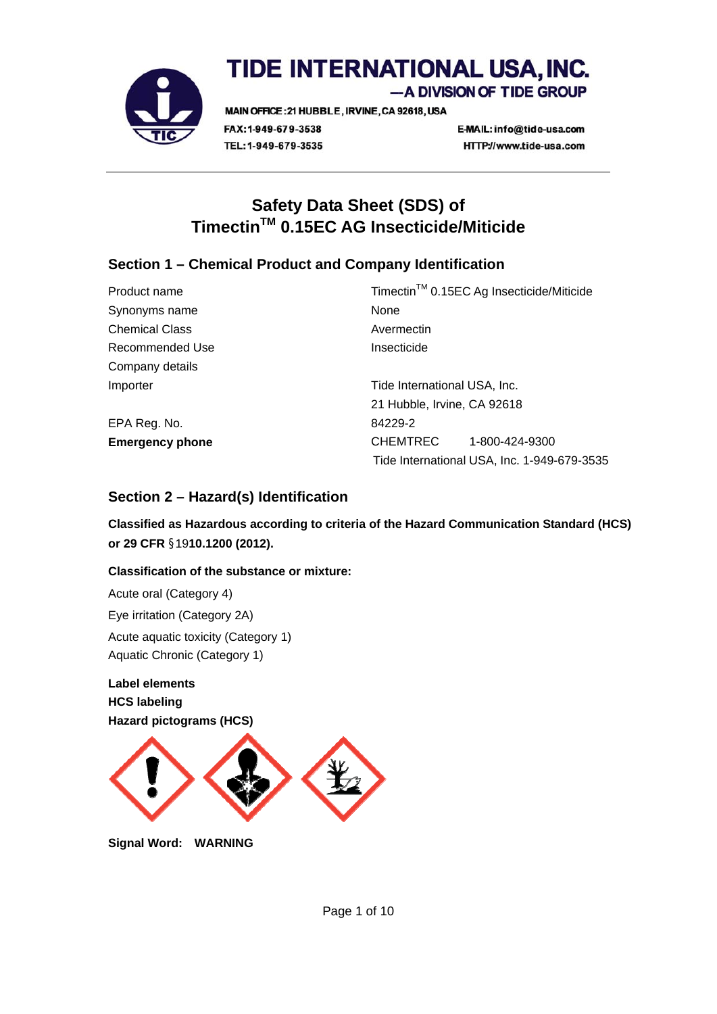

# TIDE INTERNATIONAL USA, INC. -A DIVISION OF TIDE GROUP

MAIN OFFICE: 21 HUBBLE, IRVINE, CA 92618, USA FAX: 1-949-679-3538 TEL: 1-949-679-3535

E-MAIL: info@tide-usa.com HTTP://www.tide-usa.com

# **Safety Data Sheet (SDS) of TimectinTM 0.15EC AG Insecticide/Miticide**

# **Section 1 – Chemical Product and Company Identification**

| Product name           | Timectin <sup>™</sup> 0.15EC Ag Insecticide/Miticide |
|------------------------|------------------------------------------------------|
| Synonyms name          | None                                                 |
| <b>Chemical Class</b>  | Avermectin                                           |
| Recommended Use        | Insecticide                                          |
| Company details        |                                                      |
| Importer               | Tide International USA, Inc.                         |
|                        | 21 Hubble, Irvine, CA 92618                          |
| EPA Reg. No.           | 84229-2                                              |
| <b>Emergency phone</b> | CHEMTREC<br>1-800-424-9300                           |
|                        | Tide International USA, Inc. 1-949-679-3535          |

# **Section 2 – Hazard(s) Identification**

**Classified as Hazardous according to criteria of the Hazard Communication Standard (HCS) or 29 CFR** §19**10.1200 (2012).** 

# **Classification of the substance or mixture:**

Acute oral (Category 4) Eye irritation (Category 2A) Acute aquatic toxicity (Category 1) Aquatic Chronic (Category 1)

**Label elements HCS labeling Hazard pictograms (HCS)** 



**Signal Word: WARNING**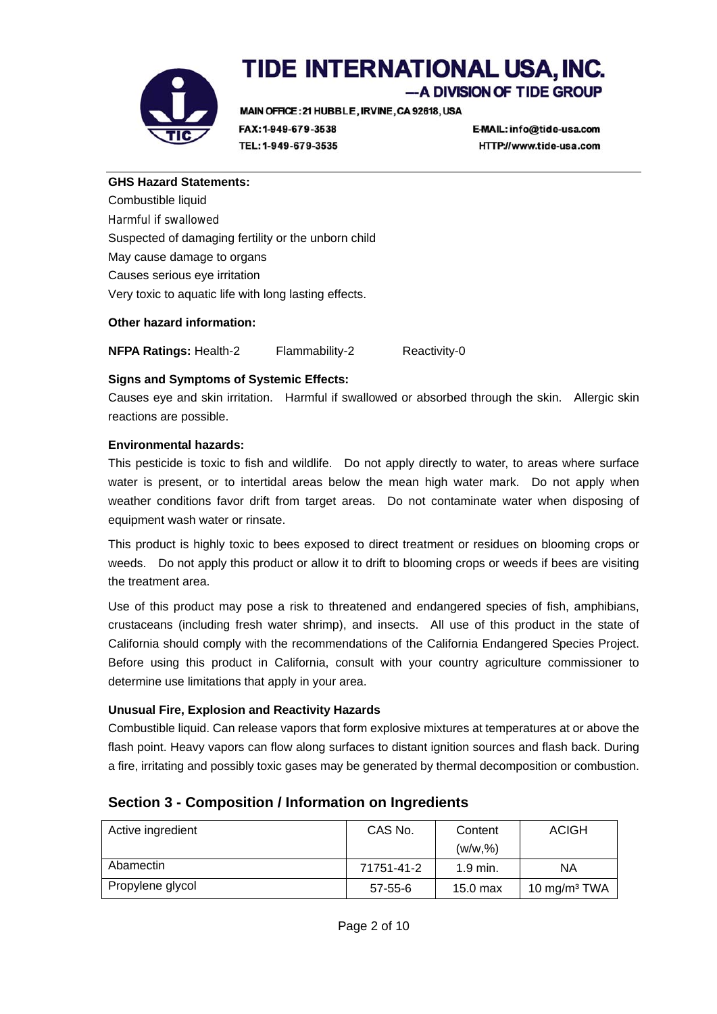

-A DIVISION OF TIDE GROUP

MAIN OFFICE: 21 HUBBLE, IRVINE, CA 92618, USA

FAX: 1-949-679-3538 TEL: 1-949-679-3535 E-MAIL: info@tide-usa.com HTTP://www.tide-usa.com

#### **GHS Hazard Statements:**

Combustible liquid Harmful if swallowed Suspected of damaging fertility or the unborn child May cause damage to organs Causes serious eye irritation Very toxic to aquatic life with long lasting effects.

#### **Other hazard information:**

**NFPA Ratings:** Health-2 Flammability-2 Reactivity-0

#### **Signs and Symptoms of Systemic Effects:**

Causes eye and skin irritation. Harmful if swallowed or absorbed through the skin. Allergic skin reactions are possible.

#### **Environmental hazards:**

This pesticide is toxic to fish and wildlife. Do not apply directly to water, to areas where surface water is present, or to intertidal areas below the mean high water mark. Do not apply when weather conditions favor drift from target areas. Do not contaminate water when disposing of equipment wash water or rinsate.

This product is highly toxic to bees exposed to direct treatment or residues on blooming crops or weeds. Do not apply this product or allow it to drift to blooming crops or weeds if bees are visiting the treatment area.

Use of this product may pose a risk to threatened and endangered species of fish, amphibians, crustaceans (including fresh water shrimp), and insects. All use of this product in the state of California should comply with the recommendations of the California Endangered Species Project. Before using this product in California, consult with your country agriculture commissioner to determine use limitations that apply in your area.

#### **Unusual Fire, Explosion and Reactivity Hazards**

Combustible liquid. Can release vapors that form explosive mixtures at temperatures at or above the flash point. Heavy vapors can flow along surfaces to distant ignition sources and flash back. During a fire, irritating and possibly toxic gases may be generated by thermal decomposition or combustion.

| Active ingredient | CAS No.    | Content    | <b>ACIGH</b>             |
|-------------------|------------|------------|--------------------------|
|                   |            | (w/w.%)    |                          |
| Abamectin         | 71751-41-2 | $1.9$ min. | ΝA                       |
| Propylene glycol  | 57-55-6    | 15.0 max   | 10 mg/m <sup>3</sup> TWA |

# **Section 3 - Composition / Information on Ingredients**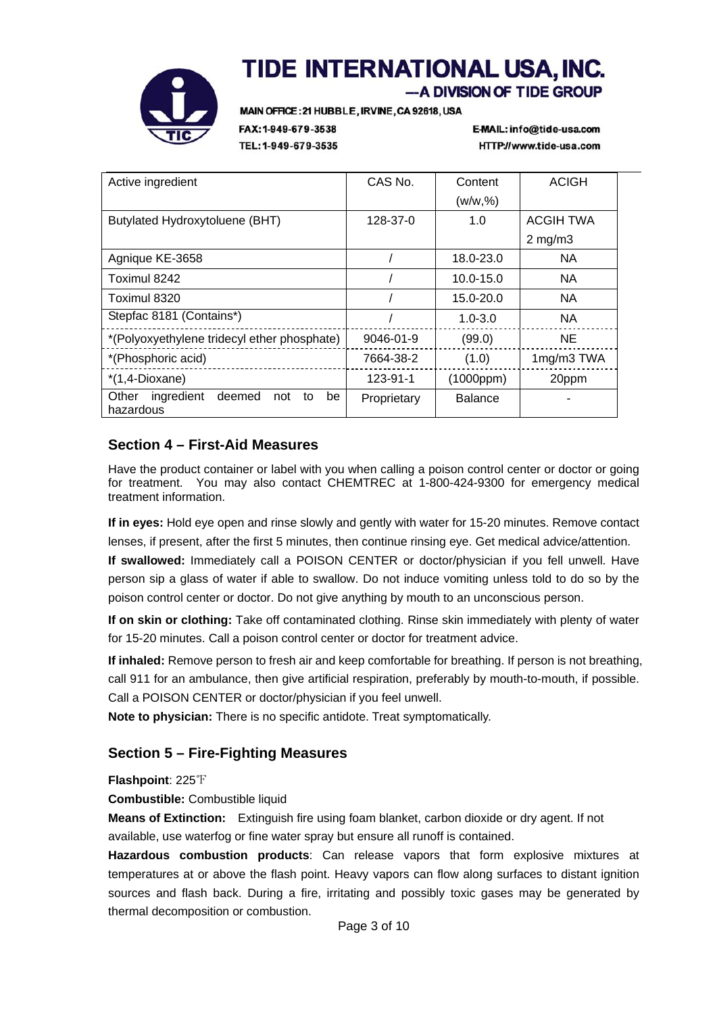

-A DIVISION OF TIDE GROUP

MAIN OFFICE: 21 HUBBLE, IRVINE, CA 92618, USA

FAX: 1-949-679-3538 TEL: 1-949-679-3535 E-MAIL: info@tide-usa.com HTTP://www.tide-usa.com

| Active ingredient                                             | CAS No.     | Content        | <b>ACIGH</b>     |
|---------------------------------------------------------------|-------------|----------------|------------------|
|                                                               |             | (w/w, %)       |                  |
| Butylated Hydroxytoluene (BHT)                                | 128-37-0    | 1.0            | <b>ACGIH TWA</b> |
|                                                               |             |                | $2 \text{ mg/m}$ |
| Agnique KE-3658                                               |             | 18.0-23.0      | <b>NA</b>        |
| Toximul 8242                                                  |             | 10.0-15.0      | <b>NA</b>        |
| Toximul 8320                                                  |             | 15.0-20.0      | <b>NA</b>        |
| Stepfac 8181 (Contains*)                                      |             | $1.0 - 3.0$    | <b>NA</b>        |
| *(Polyoxyethylene tridecyl ether phosphate)                   | 9046-01-9   | (99.0)         | <b>NE</b>        |
| *(Phosphoric acid)                                            | 7664-38-2   | (1.0)          | 1mg/m3 TWA       |
| $*(1,4-Dioxane)$                                              | 123-91-1    | (1000ppm)      | 20ppm            |
| Other<br>ingredient<br>deemed<br>not<br>be<br>to<br>hazardous | Proprietary | <b>Balance</b> |                  |

# **Section 4 – First-Aid Measures**

Have the product container or label with you when calling a poison control center or doctor or going for treatment. You may also contact CHEMTREC at 1-800-424-9300 for emergency medical treatment information.

**If in eyes:** Hold eye open and rinse slowly and gently with water for 15-20 minutes. Remove contact lenses, if present, after the first 5 minutes, then continue rinsing eye. Get medical advice/attention.

**If swallowed:** Immediately call a POISON CENTER or doctor/physician if you fell unwell. Have person sip a glass of water if able to swallow. Do not induce vomiting unless told to do so by the poison control center or doctor. Do not give anything by mouth to an unconscious person.

**If on skin or clothing:** Take off contaminated clothing. Rinse skin immediately with plenty of water for 15-20 minutes. Call a poison control center or doctor for treatment advice.

**If inhaled:** Remove person to fresh air and keep comfortable for breathing. If person is not breathing, call 911 for an ambulance, then give artificial respiration, preferably by mouth-to-mouth, if possible. Call a POISON CENTER or doctor/physician if you feel unwell.

**Note to physician:** There is no specific antidote. Treat symptomatically.

# **Section 5 – Fire-Fighting Measures**

**Flashpoint**: 225℉

**Combustible:** Combustible liquid

**Means of Extinction:** Extinguish fire using foam blanket, carbon dioxide or dry agent. If not available, use waterfog or fine water spray but ensure all runoff is contained.

**Hazardous combustion products**: Can release vapors that form explosive mixtures at temperatures at or above the flash point. Heavy vapors can flow along surfaces to distant ignition sources and flash back. During a fire, irritating and possibly toxic gases may be generated by thermal decomposition or combustion.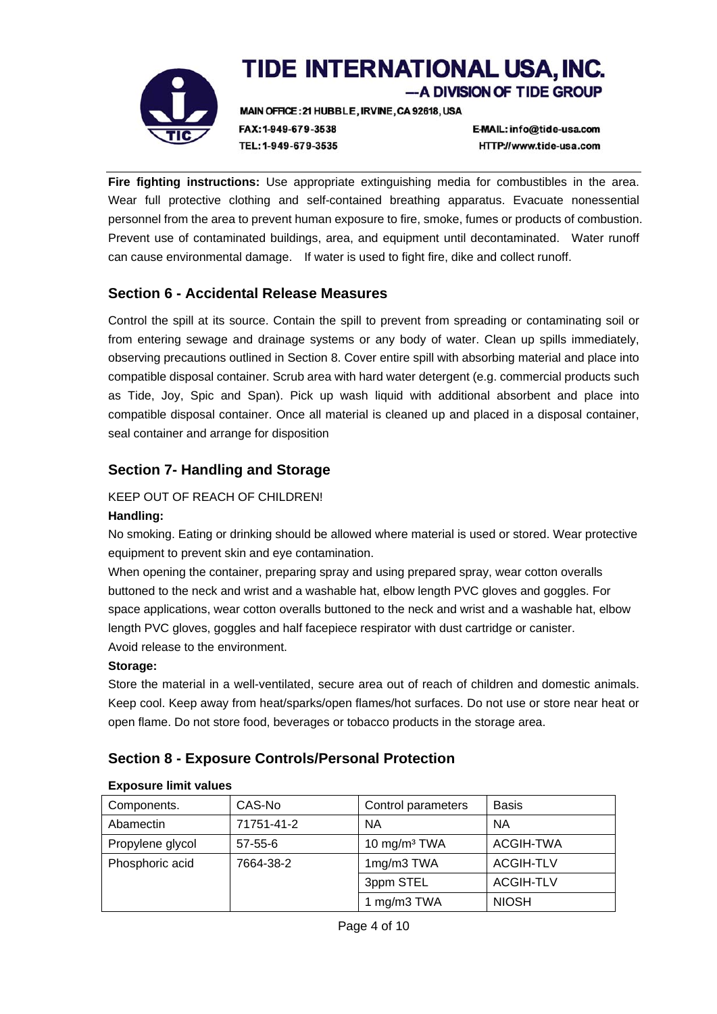

# TIDE INTERNATIONAL USA, INC. -A DIVISION OF TIDE GROUP

MAIN OFFICE: 21 HUBBLE, IRVINE, CA 92618, USA

FAX: 1-949-679-3538 TEL: 1-949-679-3535 E-MAIL: info@tide-usa.com HTTP://www.tide-usa.com

**Fire fighting instructions:** Use appropriate extinguishing media for combustibles in the area. Wear full protective clothing and self-contained breathing apparatus. Evacuate nonessential personnel from the area to prevent human exposure to fire, smoke, fumes or products of combustion. Prevent use of contaminated buildings, area, and equipment until decontaminated. Water runoff can cause environmental damage. If water is used to fight fire, dike and collect runoff.

# **Section 6 - Accidental Release Measures**

Control the spill at its source. Contain the spill to prevent from spreading or contaminating soil or from entering sewage and drainage systems or any body of water. Clean up spills immediately, observing precautions outlined in Section 8. Cover entire spill with absorbing material and place into compatible disposal container. Scrub area with hard water detergent (e.g. commercial products such as Tide, Joy, Spic and Span). Pick up wash liquid with additional absorbent and place into compatible disposal container. Once all material is cleaned up and placed in a disposal container, seal container and arrange for disposition

# **Section 7- Handling and Storage**

# KEEP OUT OF REACH OF CHILDREN!

## **Handling:**

No smoking. Eating or drinking should be allowed where material is used or stored. Wear protective equipment to prevent skin and eye contamination.

When opening the container, preparing spray and using prepared spray, wear cotton overalls buttoned to the neck and wrist and a washable hat, elbow length PVC gloves and goggles. For space applications, wear cotton overalls buttoned to the neck and wrist and a washable hat, elbow length PVC gloves, goggles and half facepiece respirator with dust cartridge or canister. Avoid release to the environment.

## **Storage:**

Store the material in a well-ventilated, secure area out of reach of children and domestic animals. Keep cool. Keep away from heat/sparks/open flames/hot surfaces. Do not use or store near heat or open flame. Do not store food, beverages or tobacco products in the storage area.

# **Section 8 - Exposure Controls/Personal Protection**

| Components.      | CAS-No        | Control parameters       | <b>Basis</b>     |
|------------------|---------------|--------------------------|------------------|
| Abamectin        | 71751-41-2    | <b>NA</b>                | <b>NA</b>        |
| Propylene glycol | $57 - 55 - 6$ | 10 mg/m <sup>3</sup> TWA | ACGIH-TWA        |
| Phosphoric acid  | 7664-38-2     | 1mg/m3 TWA               | <b>ACGIH-TLV</b> |
|                  |               | 3ppm STEL                | <b>ACGIH-TLV</b> |
|                  |               | 1 mg/m3 TWA              | <b>NIOSH</b>     |

## **Exposure limit values**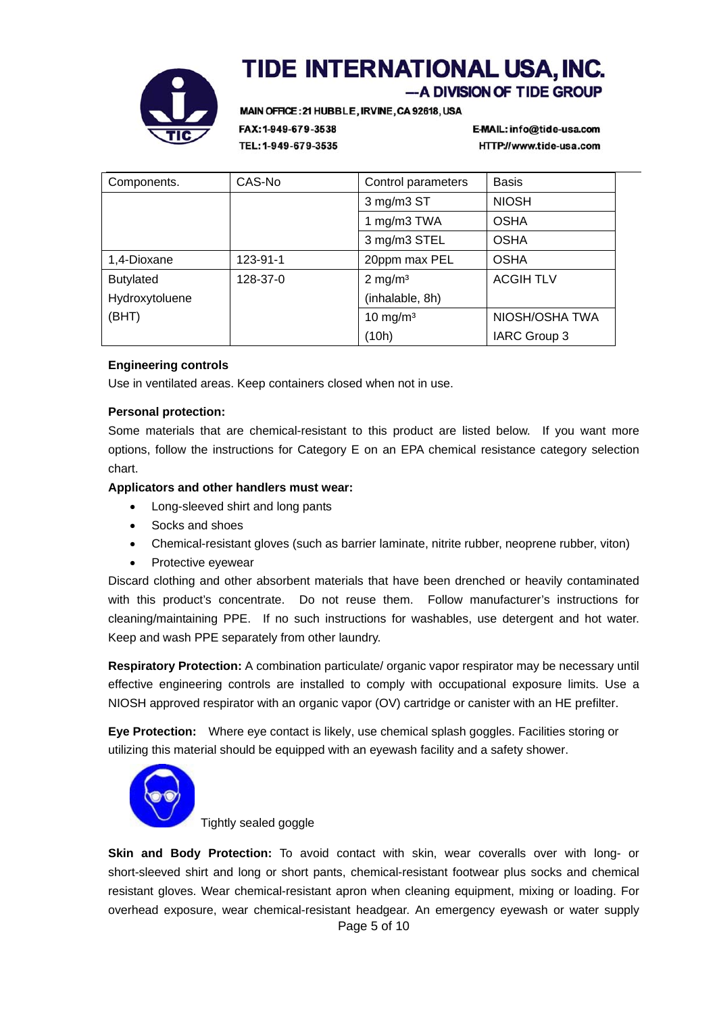

-A DIVISION OF TIDE GROUP

MAIN OFFICE: 21 HUBBLE, IRVINE, CA 92618, USA

FAX: 1-949-679-3538 TEL: 1-949-679-3535 E-MAIL: info@tide-usa.com HTTP://www.tide-usa.com

| Components.      | CAS-No   | Control parameters  | <b>Basis</b>     |
|------------------|----------|---------------------|------------------|
|                  |          | 3 mg/m3 ST          | <b>NIOSH</b>     |
|                  |          | mg/m3 TWA           | <b>OSHA</b>      |
|                  |          | 3 mg/m3 STEL        | <b>OSHA</b>      |
| 1,4-Dioxane      | 123-91-1 | 20ppm max PEL       | <b>OSHA</b>      |
| <b>Butylated</b> | 128-37-0 | $2 \text{ mg/m}^3$  | <b>ACGIH TLV</b> |
| Hydroxytoluene   |          | (inhalable, 8h)     |                  |
| (BHT)            |          | $10 \text{ mg/m}^3$ | NIOSH/OSHA TWA   |
|                  |          | (10h)               | IARC Group 3     |

#### **Engineering controls**

Use in ventilated areas. Keep containers closed when not in use.

#### **Personal protection:**

Some materials that are chemical-resistant to this product are listed below. If you want more options, follow the instructions for Category E on an EPA chemical resistance category selection chart.

#### **Applicators and other handlers must wear:**

- Long-sleeved shirt and long pants
- Socks and shoes
- Chemical-resistant gloves (such as barrier laminate, nitrite rubber, neoprene rubber, viton)
- Protective eyewear

Discard clothing and other absorbent materials that have been drenched or heavily contaminated with this product's concentrate. Do not reuse them. Follow manufacturer's instructions for cleaning/maintaining PPE. If no such instructions for washables, use detergent and hot water. Keep and wash PPE separately from other laundry.

**Respiratory Protection:** A combination particulate/ organic vapor respirator may be necessary until effective engineering controls are installed to comply with occupational exposure limits. Use a NIOSH approved respirator with an organic vapor (OV) cartridge or canister with an HE prefilter.

**Eye Protection:** Where eye contact is likely, use chemical splash goggles. Facilities storing or utilizing this material should be equipped with an eyewash facility and a safety shower.



Tightly sealed goggle

Page 5 of 10 **Skin and Body Protection:** To avoid contact with skin, wear coveralls over with long- or short-sleeved shirt and long or short pants, chemical-resistant footwear plus socks and chemical resistant gloves. Wear chemical-resistant apron when cleaning equipment, mixing or loading. For overhead exposure, wear chemical-resistant headgear. An emergency eyewash or water supply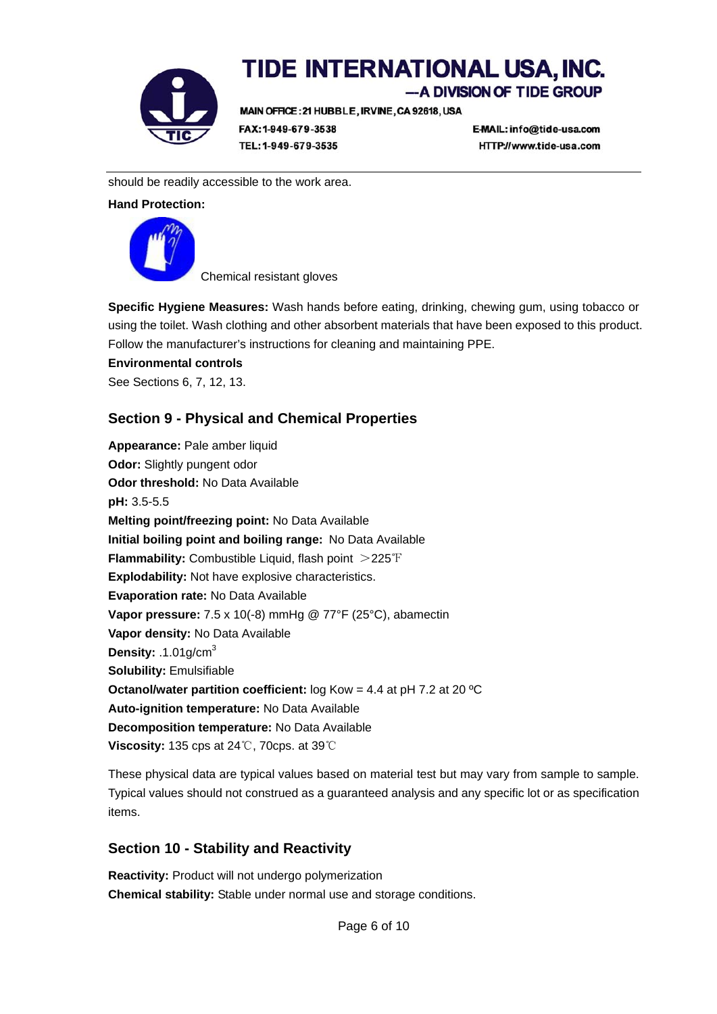

-A DIVISION OF TIDE GROUP

MAIN OFFICE: 21 HUBBLE, IRVINE, CA 92618, USA

FAX: 1-949-679-3538 TEL: 1-949-679-3535 E-MAIL: info@tide-usa.com HTTP://www.tide-usa.com

should be readily accessible to the work area.

**Hand Protection:** 



Chemical resistant gloves

**Specific Hygiene Measures:** Wash hands before eating, drinking, chewing gum, using tobacco or using the toilet. Wash clothing and other absorbent materials that have been exposed to this product. Follow the manufacturer's instructions for cleaning and maintaining PPE.

**Environmental controls**

See Sections 6, 7, 12, 13.

# **Section 9 - Physical and Chemical Properties**

**Appearance:** Pale amber liquid **Odor:** Slightly pungent odor **Odor threshold:** No Data Available **pH:** 3.5-5.5 **Melting point/freezing point:** No Data Available **Initial boiling point and boiling range:** No Data Available **Flammability:** Combustible Liquid, flash point >225℉ **Explodability:** Not have explosive characteristics. **Evaporation rate:** No Data Available **Vapor pressure:** 7.5 x 10(-8) mmHg @ 77°F (25°C), abamectin **Vapor density:** No Data Available **Density:** .1.01g/cm3 **Solubility:** Emulsifiable **Octanol/water partition coefficient:** log Kow = 4.4 at pH 7.2 at 20 ºC **Auto-ignition temperature:** No Data Available **Decomposition temperature:** No Data Available **Viscosity:** 135 cps at 24℃, 70cps. at 39℃

These physical data are typical values based on material test but may vary from sample to sample. Typical values should not construed as a guaranteed analysis and any specific lot or as specification items.

# **Section 10 - Stability and Reactivity**

**Reactivity:** Product will not undergo polymerization **Chemical stability:** Stable under normal use and storage conditions.

Page 6 of 10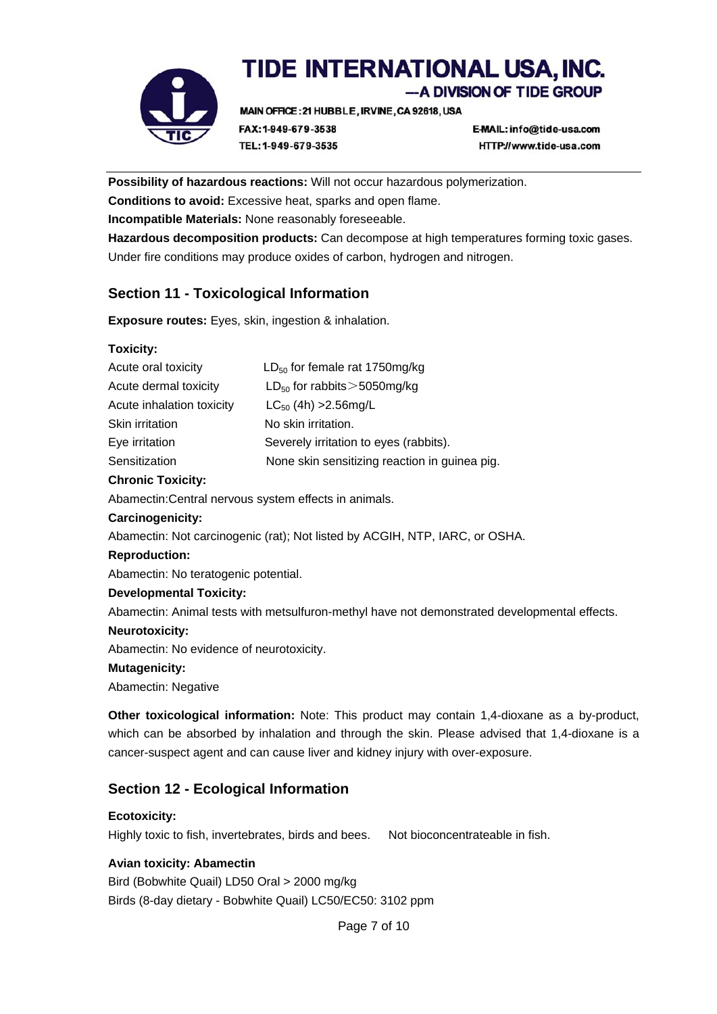

-A DIVISION OF TIDE GROUP

MAIN OFFICE: 21 HUBBLE, IRVINE, CA 92618, USA FAX: 1-949-679-3538

E-MAIL: info@tide-usa.com HTTP://www.tide-usa.com

**Possibility of hazardous reactions:** Will not occur hazardous polymerization.

**Conditions to avoid:** Excessive heat, sparks and open flame.

TEL: 1-949-679-3535

**Incompatible Materials:** None reasonably foreseeable.

**Hazardous decomposition products:** Can decompose at high temperatures forming toxic gases. Under fire conditions may produce oxides of carbon, hydrogen and nitrogen.

# **Section 11 - Toxicological Information**

**Exposure routes:** Eyes, skin, ingestion & inhalation.

## **Toxicity:**

| Acute oral toxicity       | $LD_{50}$ for female rat 1750mg/kg            |
|---------------------------|-----------------------------------------------|
| Acute dermal toxicity     | $LD_{50}$ for rabbits $>$ 5050 mg/kg          |
| Acute inhalation toxicity | $LC_{50}$ (4h) > 2.56 mg/L                    |
| Skin irritation           | No skin irritation.                           |
| Eye irritation            | Severely irritation to eyes (rabbits).        |
| Sensitization             | None skin sensitizing reaction in guinea pig. |
|                           |                                               |

#### **Chronic Toxicity:**

Abamectin:Central nervous system effects in animals.

#### **Carcinogenicity:**

Abamectin: Not carcinogenic (rat); Not listed by ACGIH, NTP, IARC, or OSHA.

#### **Reproduction:**

Abamectin: No teratogenic potential.

## **Developmental Toxicity:**

Abamectin: Animal tests with metsulfuron-methyl have not demonstrated developmental effects.

#### **Neurotoxicity:**

Abamectin: No evidence of neurotoxicity.

#### **Mutagenicity:**

Abamectin: Negative

**Other toxicological information:** Note: This product may contain 1,4-dioxane as a by-product, which can be absorbed by inhalation and through the skin. Please advised that 1,4-dioxane is a cancer-suspect agent and can cause liver and kidney injury with over-exposure.

# **Section 12 - Ecological Information**

**Ecotoxicity:**  Highly toxic to fish, invertebrates, birds and bees. Not bioconcentrateable in fish.

## **Avian toxicity: Abamectin**

Bird (Bobwhite Quail) LD50 Oral > 2000 mg/kg Birds (8-day dietary - Bobwhite Quail) LC50/EC50: 3102 ppm

Page 7 of 10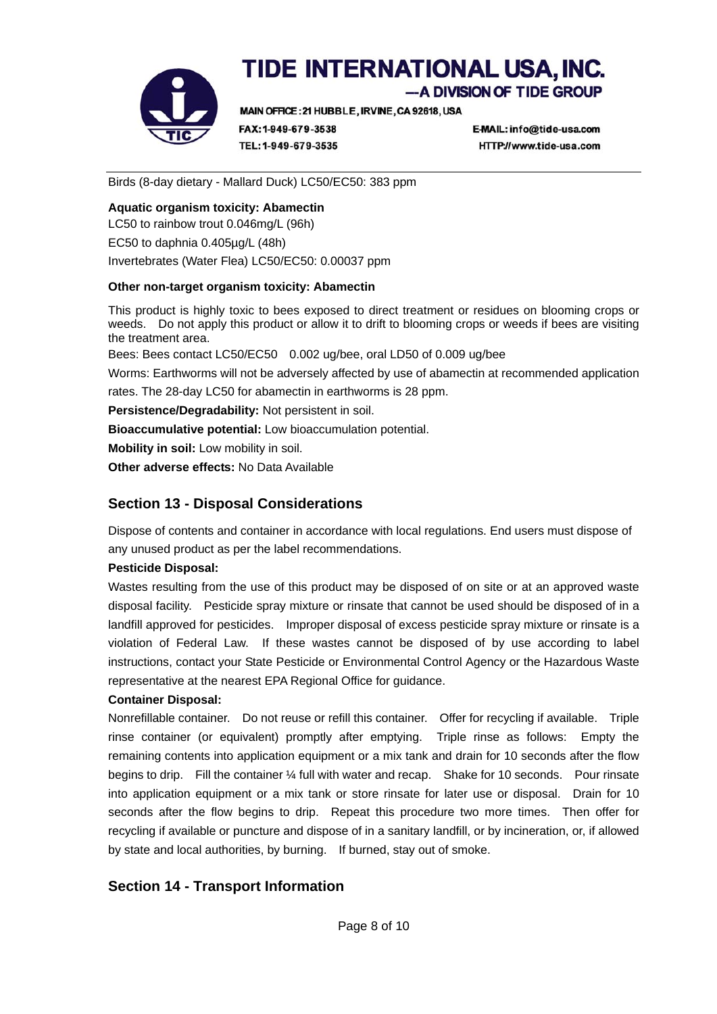

-A DIVISION OF TIDE GROUP

MAIN OFFICE: 21 HUBBLE, IRVINE, CA 92618, USA

FAX: 1-949-679-3538 TEL: 1-949-679-3535 E-MAIL: info@tide-usa.com HTTP://www.tide-usa.com

Birds (8-day dietary - Mallard Duck) LC50/EC50: 383 ppm

#### **Aquatic organism toxicity: Abamectin**

LC50 to rainbow trout 0.046mg/L (96h) EC50 to daphnia 0.405µg/L (48h) Invertebrates (Water Flea) LC50/EC50: 0.00037 ppm

#### **Other non-target organism toxicity: Abamectin**

This product is highly toxic to bees exposed to direct treatment or residues on blooming crops or weeds. Do not apply this product or allow it to drift to blooming crops or weeds if bees are visiting the treatment area.

Bees: Bees contact LC50/EC50 0.002 ug/bee, oral LD50 of 0.009 ug/bee

Worms: Earthworms will not be adversely affected by use of abamectin at recommended application

rates. The 28-day LC50 for abamectin in earthworms is 28 ppm.

**Persistence/Degradability:** Not persistent in soil.

**Bioaccumulative potential:** Low bioaccumulation potential.

**Mobility in soil:** Low mobility in soil.

**Other adverse effects:** No Data Available

# **Section 13 - Disposal Considerations**

Dispose of contents and container in accordance with local regulations. End users must dispose of any unused product as per the label recommendations.

## **Pesticide Disposal:**

Wastes resulting from the use of this product may be disposed of on site or at an approved waste disposal facility. Pesticide spray mixture or rinsate that cannot be used should be disposed of in a landfill approved for pesticides. Improper disposal of excess pesticide spray mixture or rinsate is a violation of Federal Law. If these wastes cannot be disposed of by use according to label instructions, contact your State Pesticide or Environmental Control Agency or the Hazardous Waste representative at the nearest EPA Regional Office for guidance.

## **Container Disposal:**

Nonrefillable container. Do not reuse or refill this container. Offer for recycling if available. Triple rinse container (or equivalent) promptly after emptying. Triple rinse as follows: Empty the remaining contents into application equipment or a mix tank and drain for 10 seconds after the flow begins to drip. Fill the container  $\frac{1}{4}$  full with water and recap. Shake for 10 seconds. Pour rinsate into application equipment or a mix tank or store rinsate for later use or disposal. Drain for 10 seconds after the flow begins to drip. Repeat this procedure two more times. Then offer for recycling if available or puncture and dispose of in a sanitary landfill, or by incineration, or, if allowed by state and local authorities, by burning. If burned, stay out of smoke.

# **Section 14 - Transport Information**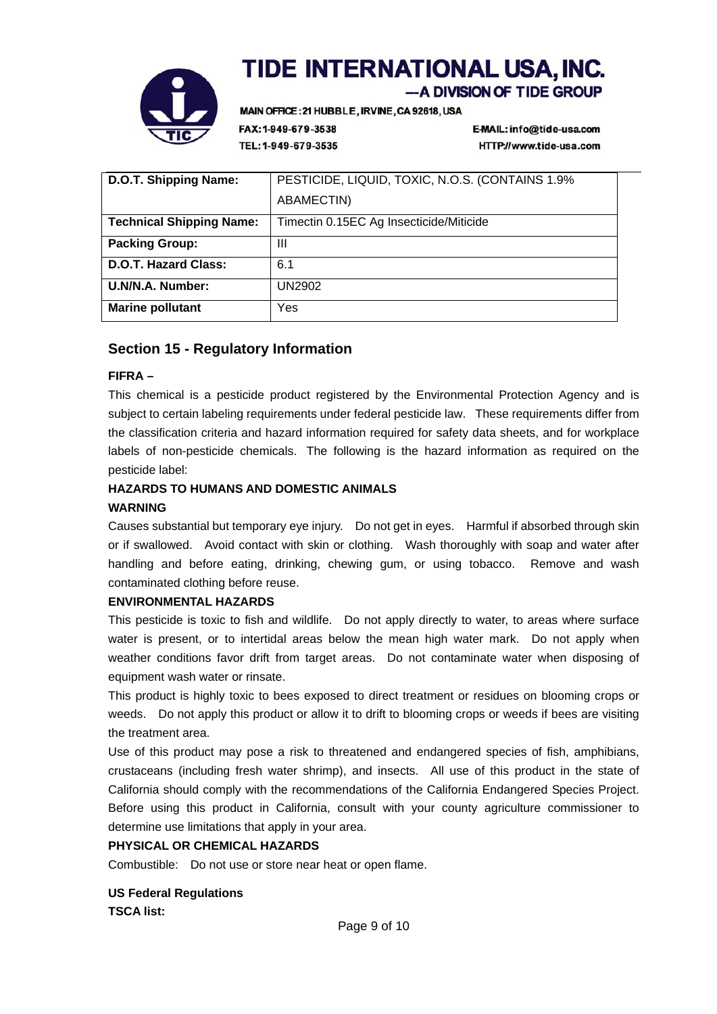

-A DIVISION OF TIDE GROUP

MAIN OFFICE: 21 HUBBLE, IRVINE, CA 92618, USA

FAX: 1-949-679-3538 TEL: 1-949-679-3535 E-MAIL: info@tide-usa.com HTTP://www.tide-usa.com

| D.O.T. Shipping Name:           | PESTICIDE, LIQUID, TOXIC, N.O.S. (CONTAINS 1.9%) |
|---------------------------------|--------------------------------------------------|
|                                 | <b>ABAMECTIN)</b>                                |
| <b>Technical Shipping Name:</b> | Timectin 0.15EC Ag Insecticide/Miticide          |
| <b>Packing Group:</b>           | Ш                                                |
| <b>D.O.T. Hazard Class:</b>     | 6.1                                              |
| U.N/N.A. Number:                | UN2902                                           |
| <b>Marine pollutant</b>         | Yes                                              |

# **Section 15 - Regulatory Information**

## **FIFRA –**

This chemical is a pesticide product registered by the Environmental Protection Agency and is subject to certain labeling requirements under federal pesticide law. These requirements differ from the classification criteria and hazard information required for safety data sheets, and for workplace labels of non-pesticide chemicals. The following is the hazard information as required on the pesticide label:

## **HAZARDS TO HUMANS AND DOMESTIC ANIMALS**

## **WARNING**

Causes substantial but temporary eye injury. Do not get in eyes. Harmful if absorbed through skin or if swallowed. Avoid contact with skin or clothing. Wash thoroughly with soap and water after handling and before eating, drinking, chewing gum, or using tobacco. Remove and wash contaminated clothing before reuse.

## **ENVIRONMENTAL HAZARDS**

This pesticide is toxic to fish and wildlife. Do not apply directly to water, to areas where surface water is present, or to intertidal areas below the mean high water mark. Do not apply when weather conditions favor drift from target areas. Do not contaminate water when disposing of equipment wash water or rinsate.

This product is highly toxic to bees exposed to direct treatment or residues on blooming crops or weeds. Do not apply this product or allow it to drift to blooming crops or weeds if bees are visiting the treatment area.

Use of this product may pose a risk to threatened and endangered species of fish, amphibians, crustaceans (including fresh water shrimp), and insects. All use of this product in the state of California should comply with the recommendations of the California Endangered Species Project. Before using this product in California, consult with your county agriculture commissioner to determine use limitations that apply in your area.

## **PHYSICAL OR CHEMICAL HAZARDS**

Combustible: Do not use or store near heat or open flame.

## **US Federal Regulations TSCA list:**